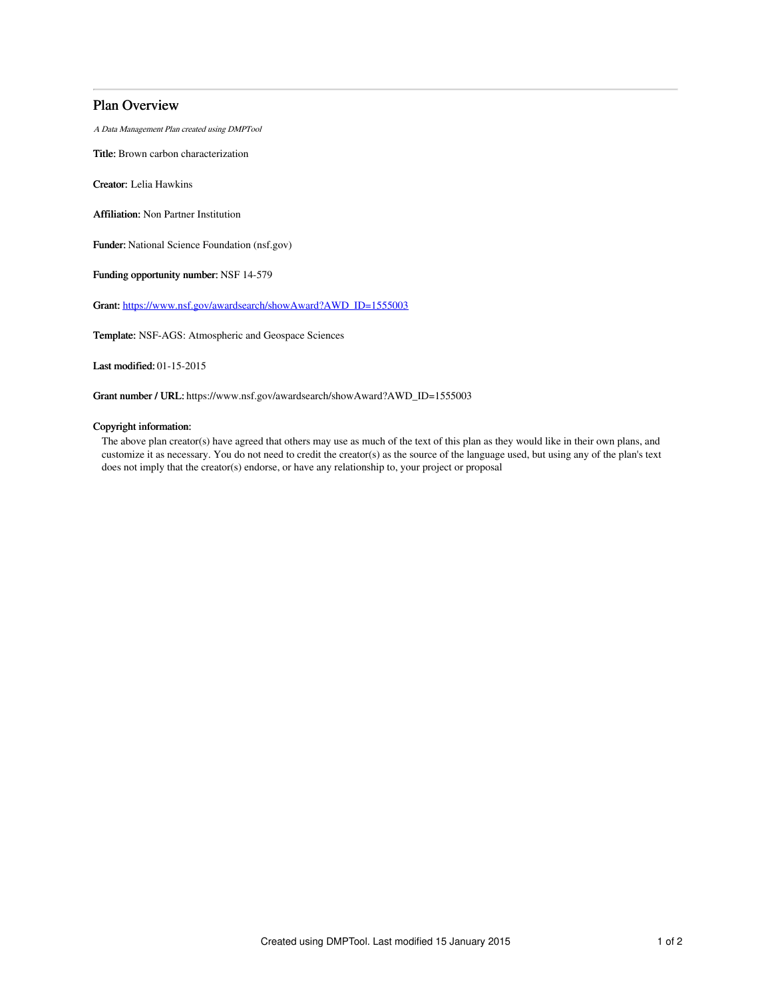# Plan Overview

A Data Management Plan created using DMPTool

Title: Brown carbon characterization

Creator: Lelia Hawkins

Affiliation: Non Partner Institution

Funder: National Science Foundation (nsf.gov)

Funding opportunity number: NSF 14-579

Grant: [https://www.nsf.gov/awardsearch/showAward?AWD\\_ID=1555003](https://www.nsf.gov/awardsearch/showAward?AWD_ID=1555003)

Template: NSF-AGS: Atmospheric and Geospace Sciences

Last modified: 01-15-2015

Grant number / URL: https://www.nsf.gov/awardsearch/showAward?AWD\_ID=1555003

## Copyright information:

The above plan creator(s) have agreed that others may use as much of the text of this plan as they would like in their own plans, and customize it as necessary. You do not need to credit the creator(s) as the source of the language used, but using any of the plan's text does not imply that the creator(s) endorse, or have any relationship to, your project or proposal